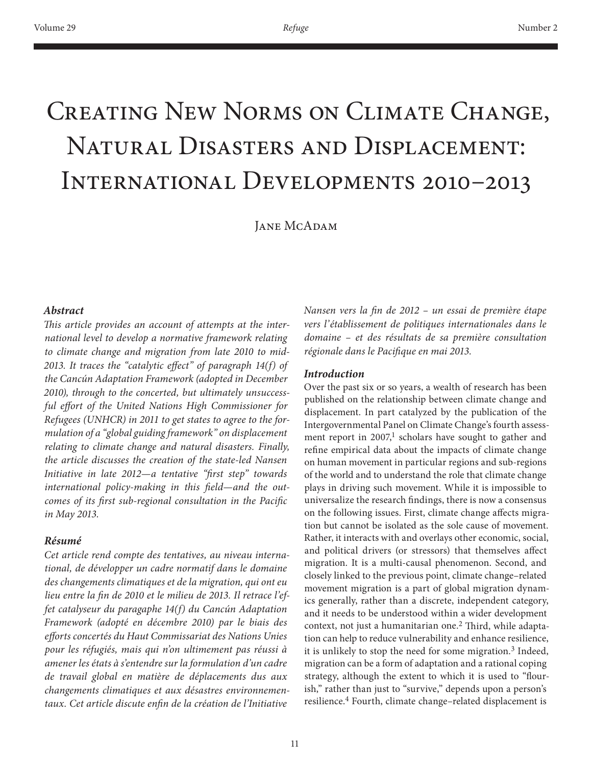# Creating New Norms on Climate Change, Natural Disasters and Displacement: International Developments 2010–2013

JANE MCADAM

#### *Abstract*

*This article provides an account of attempts at the international level to develop a normative framework relating to climate change and migration from late 2010 to mid-2013. It traces the "catalytic effect" of paragraph 14(f) of the Cancún Adaptation Framework (adopted in December 2010), through to the concerted, but ultimately unsuccessful effort of the United Nations High Commissioner for Refugees (UNHCR) in 2011 to get states to agree to the formulation of a "global guiding framework" on displacement relating to climate change and natural disasters. Finally, the article discusses the creation of the state-led Nansen Initiative in late 2012—a tentative "first step" towards international policy-making in this field—and the outcomes of its first sub-regional consultation in the Pacific in May 2013.*

#### *Résumé*

*Cet article rend compte des tentatives, au niveau international, de développer un cadre normatif dans le domaine des changements climatiques et de la migration, qui ont eu lieu entre la fin de 2010 et le milieu de 2013. Il retrace l'effet catalyseur du paragaphe 14(f) du Cancún Adaptation Framework (adopté en décembre 2010) par le biais des efforts concertés du Haut Commissariat des Nations Unies pour les réfugiés, mais qui n'on ultimement pas réussi à amener les états à s'entendre sur la formulation d'un cadre de travail global en matière de déplacements dus aux changements climatiques et aux désastres environnementaux. Cet article discute enfin de la création de l'Initiative* 

*Nansen vers la fin de 2012 – un essai de première étape vers l'établissement de politiques internationales dans le domaine – et des résultats de sa première consultation régionale dans le Pacifique en mai 2013.*

#### *Introduction*

Over the past six or so years, a wealth of research has been published on the relationship between climate change and displacement. In part catalyzed by the publication of the Intergovernmental Panel on Climate Change's fourth assessment report in  $2007<sup>1</sup>$  scholars have sought to gather and refine empirical data about the impacts of climate change on human movement in particular regions and sub-regions of the world and to understand the role that climate change plays in driving such movement. While it is impossible to universalize the research findings, there is now a consensus on the following issues. First, climate change affects migration but cannot be isolated as the sole cause of movement. Rather, it interacts with and overlays other economic, social, and political drivers (or stressors) that themselves affect migration. It is a multi-causal phenomenon. Second, and closely linked to the previous point, climate change–related movement migration is a part of global migration dynamics generally, rather than a discrete, independent category, and it needs to be understood within a wider development context, not just a humanitarian one.<sup>2</sup> Third, while adaptation can help to reduce vulnerability and enhance resilience, it is unlikely to stop the need for some migration.<sup>3</sup> Indeed, migration can be a form of adaptation and a rational coping strategy, although the extent to which it is used to "flourish," rather than just to "survive," depends upon a person's resilience.4 Fourth, climate change–related displacement is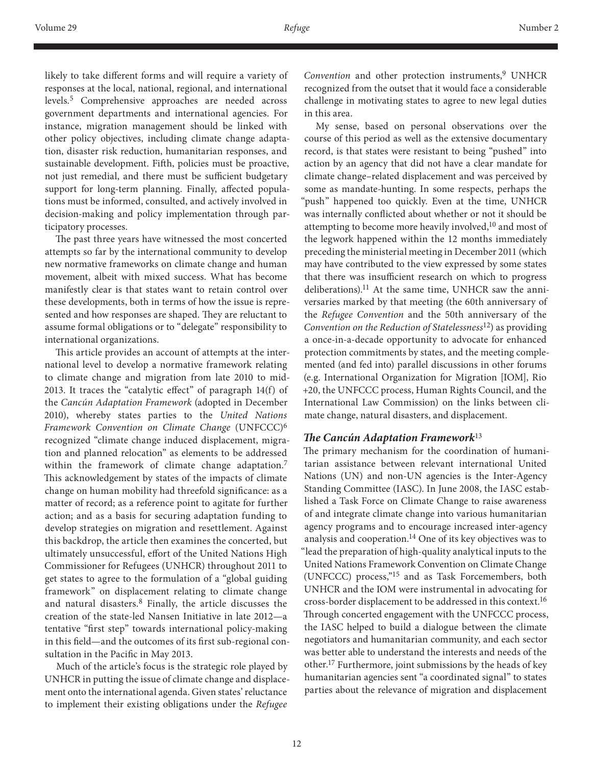likely to take different forms and will require a variety of responses at the local, national, regional, and international levels.5 Comprehensive approaches are needed across government departments and international agencies. For instance, migration management should be linked with other policy objectives, including climate change adaptation, disaster risk reduction, humanitarian responses, and sustainable development. Fifth, policies must be proactive, not just remedial, and there must be sufficient budgetary support for long-term planning. Finally, affected populations must be informed, consulted, and actively involved in decision-making and policy implementation through participatory processes.

The past three years have witnessed the most concerted attempts so far by the international community to develop new normative frameworks on climate change and human movement, albeit with mixed success. What has become manifestly clear is that states want to retain control over these developments, both in terms of how the issue is represented and how responses are shaped. They are reluctant to assume formal obligations or to "delegate" responsibility to international organizations.

This article provides an account of attempts at the international level to develop a normative framework relating to climate change and migration from late 2010 to mid-2013. It traces the "catalytic effect" of paragraph 14(f) of the *Cancún Adaptation Framework* (adopted in December 2010), whereby states parties to the *United Nations Framework Convention on Climate Change* (UNFCCC)<sup>6</sup> recognized "climate change induced displacement, migration and planned relocation" as elements to be addressed within the framework of climate change adaptation.<sup>7</sup> This acknowledgement by states of the impacts of climate change on human mobility had threefold significance: as a matter of record; as a reference point to agitate for further action; and as a basis for securing adaptation funding to develop strategies on migration and resettlement. Against this backdrop, the article then examines the concerted, but ultimately unsuccessful, effort of the United Nations High Commissioner for Refugees (UNHCR) throughout 2011 to get states to agree to the formulation of a "global guiding framework" on displacement relating to climate change and natural disasters.8 Finally, the article discusses the creation of the state-led Nansen Initiative in late 2012—a tentative "first step" towards international policy-making in this field—and the outcomes of its first sub-regional consultation in the Pacific in May 2013.

Much of the article's focus is the strategic role played by UNHCR in putting the issue of climate change and displacement onto the international agenda. Given states' reluctance to implement their existing obligations under the *Refugee* 

Convention and other protection instruments,<sup>9</sup> UNHCR recognized from the outset that it would face a considerable challenge in motivating states to agree to new legal duties in this area.

My sense, based on personal observations over the course of this period as well as the extensive documentary record, is that states were resistant to being "pushed" into action by an agency that did not have a clear mandate for climate change–related displacement and was perceived by some as mandate-hunting. In some respects, perhaps the 'push" happened too quickly. Even at the time, UNHCR was internally conflicted about whether or not it should be attempting to become more heavily involved,<sup>10</sup> and most of the legwork happened within the 12 months immediately preceding the ministerial meeting in December 2011 (which may have contributed to the view expressed by some states that there was insufficient research on which to progress deliberations).<sup>11</sup> At the same time, UNHCR saw the anniversaries marked by that meeting (the 60th anniversary of the *Refugee Convention* and the 50th anniversary of the *Convention on the Reduction of Statelessness*12) as providing a once-in-a-decade opportunity to advocate for enhanced protection commitments by states, and the meeting complemented (and fed into) parallel discussions in other forums (e.g. International Organization for Migration [IOM], Rio +20, the UNFCCC process, Human Rights Council, and the International Law Commission) on the links between climate change, natural disasters, and displacement.

#### *The Cancún Adaptation Framework*<sup>13</sup>

The primary mechanism for the coordination of humanitarian assistance between relevant international United Nations (UN) and non-UN agencies is the Inter-Agency Standing Committee (IASC). In June 2008, the IASC established a Task Force on Climate Change to raise awareness of and integrate climate change into various humanitarian agency programs and to encourage increased inter-agency analysis and cooperation.14 One of its key objectives was to "lead the preparation of high-quality analytical inputs to the United Nations Framework Convention on Climate Change (UNFCCC) process,"15 and as Task Forcemembers, both UNHCR and the IOM were instrumental in advocating for cross-border displacement to be addressed in this context.16 Through concerted engagement with the UNFCCC process, the IASC helped to build a dialogue between the climate negotiators and humanitarian community, and each sector was better able to understand the interests and needs of the other.17 Furthermore, joint submissions by the heads of key humanitarian agencies sent "a coordinated signal" to states parties about the relevance of migration and displacement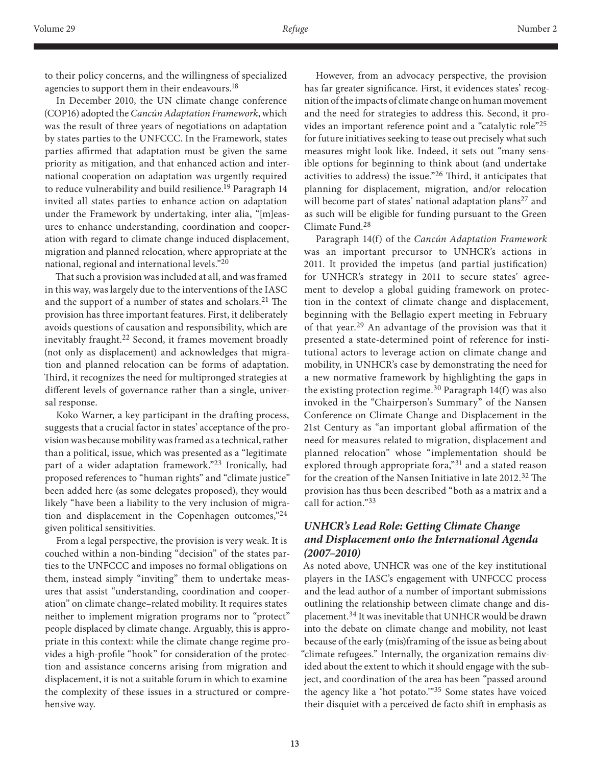to their policy concerns, and the willingness of specialized agencies to support them in their endeavours.<sup>18</sup>

In December 2010, the UN climate change conference (COP16) adopted the *Cancún Adaptation Framework*, which was the result of three years of negotiations on adaptation by states parties to the UNFCCC. In the Framework, states parties affirmed that adaptation must be given the same priority as mitigation, and that enhanced action and international cooperation on adaptation was urgently required to reduce vulnerability and build resilience.<sup>19</sup> Paragraph 14 invited all states parties to enhance action on adaptation under the Framework by undertaking, inter alia, "[m]easures to enhance understanding, coordination and cooperation with regard to climate change induced displacement, migration and planned relocation, where appropriate at the national, regional and international levels."<sup>20</sup>

That such a provision was included at all, and was framed in this way, was largely due to the interventions of the IASC and the support of a number of states and scholars.<sup>21</sup> The provision has three important features. First, it deliberately avoids questions of causation and responsibility, which are inevitably fraught.<sup>22</sup> Second, it frames movement broadly (not only as displacement) and acknowledges that migration and planned relocation can be forms of adaptation. Third, it recognizes the need for multipronged strategies at different levels of governance rather than a single, universal response.

Koko Warner, a key participant in the drafting process, suggests that a crucial factor in states' acceptance of the provision was because mobility was framed as a technical, rather than a political, issue, which was presented as a "legitimate part of a wider adaptation framework."<sup>23</sup> Ironically, had proposed references to "human rights" and "climate justice" been added here (as some delegates proposed), they would likely "have been a liability to the very inclusion of migration and displacement in the Copenhagen outcomes,"24 given political sensitivities.

From a legal perspective, the provision is very weak. It is couched within a non-binding "decision" of the states parties to the UNFCCC and imposes no formal obligations on them, instead simply "inviting" them to undertake measures that assist "understanding, coordination and cooperation" on climate change–related mobility. It requires states neither to implement migration programs nor to "protect" people displaced by climate change. Arguably, this is appropriate in this context: while the climate change regime provides a high-profile "hook" for consideration of the protection and assistance concerns arising from migration and displacement, it is not a suitable forum in which to examine the complexity of these issues in a structured or comprehensive way.

However, from an advocacy perspective, the provision has far greater significance. First, it evidences states' recognition of the impacts of climate change on human movement and the need for strategies to address this. Second, it provides an important reference point and a "catalytic role"<sup>25</sup> for future initiatives seeking to tease out precisely what such measures might look like. Indeed, it sets out "many sensible options for beginning to think about (and undertake activities to address) the issue."26 Third, it anticipates that planning for displacement, migration, and/or relocation will become part of states' national adaptation plans<sup>27</sup> and as such will be eligible for funding pursuant to the Green Climate Fund.<sup>28</sup>

Paragraph 14(f) of the *Cancún Adaptation Framework* was an important precursor to UNHCR's actions in 2011. It provided the impetus (and partial justification) for UNHCR's strategy in 2011 to secure states' agreement to develop a global guiding framework on protection in the context of climate change and displacement, beginning with the Bellagio expert meeting in February of that year.29 An advantage of the provision was that it presented a state-determined point of reference for institutional actors to leverage action on climate change and mobility, in UNHCR's case by demonstrating the need for a new normative framework by highlighting the gaps in the existing protection regime.<sup>30</sup> Paragraph  $14(f)$  was also invoked in the "Chairperson's Summary" of the Nansen Conference on Climate Change and Displacement in the 21st Century as "an important global affirmation of the need for measures related to migration, displacement and planned relocation" whose "implementation should be explored through appropriate fora,"31 and a stated reason for the creation of the Nansen Initiative in late 2012.32 The provision has thus been described "both as a matrix and a call for action."<sup>33</sup>

# *UNHCR's Lead Role: Getting Climate Change and Displacement onto the International Agenda (2007–2010)*

As noted above, UNHCR was one of the key institutional players in the IASC's engagement with UNFCCC process and the lead author of a number of important submissions outlining the relationship between climate change and displacement.34 It was inevitable that UNHCR would be drawn into the debate on climate change and mobility, not least because of the early (mis)framing of the issue as being about "climate refugees." Internally, the organization remains divided about the extent to which it should engage with the subject, and coordination of the area has been "passed around the agency like a 'hot potato.'"35 Some states have voiced their disquiet with a perceived de facto shift in emphasis as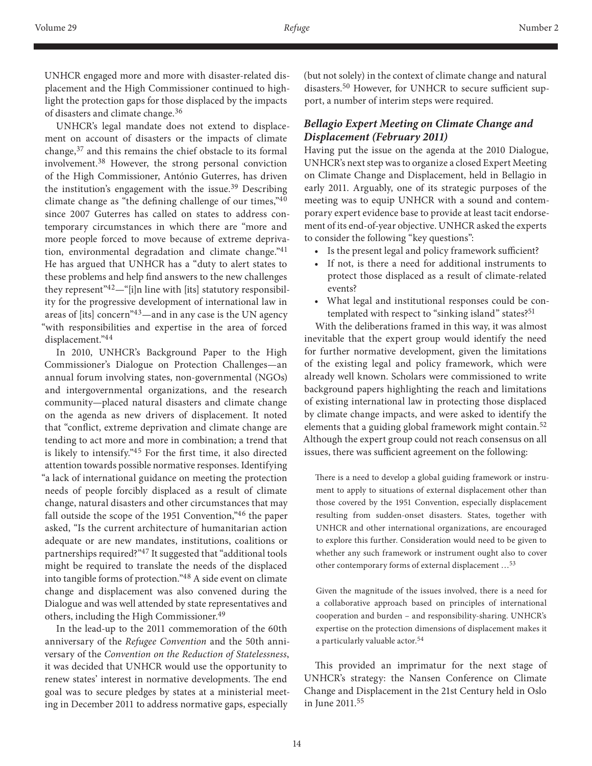UNHCR engaged more and more with disaster-related displacement and the High Commissioner continued to highlight the protection gaps for those displaced by the impacts of disasters and climate change.<sup>36</sup>

UNHCR's legal mandate does not extend to displacement on account of disasters or the impacts of climate change,37 and this remains the chief obstacle to its formal involvement.38 However, the strong personal conviction of the High Commissioner, António Guterres, has driven the institution's engagement with the issue.<sup>39</sup> Describing climate change as "the defining challenge of our times,"40 since 2007 Guterres has called on states to address contemporary circumstances in which there are "more and more people forced to move because of extreme deprivation, environmental degradation and climate change."41 He has argued that UNHCR has a "duty to alert states to these problems and help find answers to the new challenges they represent"<sup>42</sup>—"[i]n line with [its] statutory responsibility for the progressive development of international law in areas of [its] concern"43—and in any case is the UN agency "with responsibilities and expertise in the area of forced displacement."44

In 2010, UNHCR's Background Paper to the High Commissioner's Dialogue on Protection Challenges—an annual forum involving states, non-governmental (NGOs) and intergovernmental organizations, and the research community—placed natural disasters and climate change on the agenda as new drivers of displacement. It noted that "conflict, extreme deprivation and climate change are tending to act more and more in combination; a trend that is likely to intensify."45 For the first time, it also directed attention towards possible normative responses. Identifying "a lack of international guidance on meeting the protection needs of people forcibly displaced as a result of climate change, natural disasters and other circumstances that may fall outside the scope of the 1951 Convention,"46 the paper asked, "Is the current architecture of humanitarian action adequate or are new mandates, institutions, coalitions or partnerships required?"47 It suggested that "additional tools might be required to translate the needs of the displaced into tangible forms of protection."48 A side event on climate change and displacement was also convened during the Dialogue and was well attended by state representatives and others, including the High Commissioner.49

In the lead-up to the 2011 commemoration of the 60th anniversary of the *Refugee Convention* and the 50th anniversary of the *Convention on the Reduction of Statelessness*, it was decided that UNHCR would use the opportunity to renew states' interest in normative developments. The end goal was to secure pledges by states at a ministerial meeting in December 2011 to address normative gaps, especially

(but not solely) in the context of climate change and natural disasters.50 However, for UNHCR to secure sufficient support, a number of interim steps were required.

## *Bellagio Expert Meeting on Climate Change and Displacement (February 2011)*

Having put the issue on the agenda at the 2010 Dialogue, UNHCR's next step was to organize a closed Expert Meeting on Climate Change and Displacement, held in Bellagio in early 2011. Arguably, one of its strategic purposes of the meeting was to equip UNHCR with a sound and contemporary expert evidence base to provide at least tacit endorsement of its end-of-year objective. UNHCR asked the experts to consider the following "key questions":

- Is the present legal and policy framework sufficient?
- If not, is there a need for additional instruments to protect those displaced as a result of climate-related events?
- What legal and institutional responses could be contemplated with respect to "sinking island" states?<sup>51</sup>

With the deliberations framed in this way, it was almost inevitable that the expert group would identify the need for further normative development, given the limitations of the existing legal and policy framework, which were already well known. Scholars were commissioned to write background papers highlighting the reach and limitations of existing international law in protecting those displaced by climate change impacts, and were asked to identify the elements that a guiding global framework might contain.<sup>52</sup> Although the expert group could not reach consensus on all issues, there was sufficient agreement on the following:

There is a need to develop a global guiding framework or instrument to apply to situations of external displacement other than those covered by the 1951 Convention, especially displacement resulting from sudden-onset disasters. States, together with UNHCR and other international organizations, are encouraged to explore this further. Consideration would need to be given to whether any such framework or instrument ought also to cover other contemporary forms of external displacement …<sup>53</sup>

Given the magnitude of the issues involved, there is a need for a collaborative approach based on principles of international cooperation and burden – and responsibility-sharing. UNHCR's expertise on the protection dimensions of displacement makes it a particularly valuable actor.<sup>54</sup>

This provided an imprimatur for the next stage of UNHCR's strategy: the Nansen Conference on Climate Change and Displacement in the 21st Century held in Oslo in June 2011.<sup>55</sup>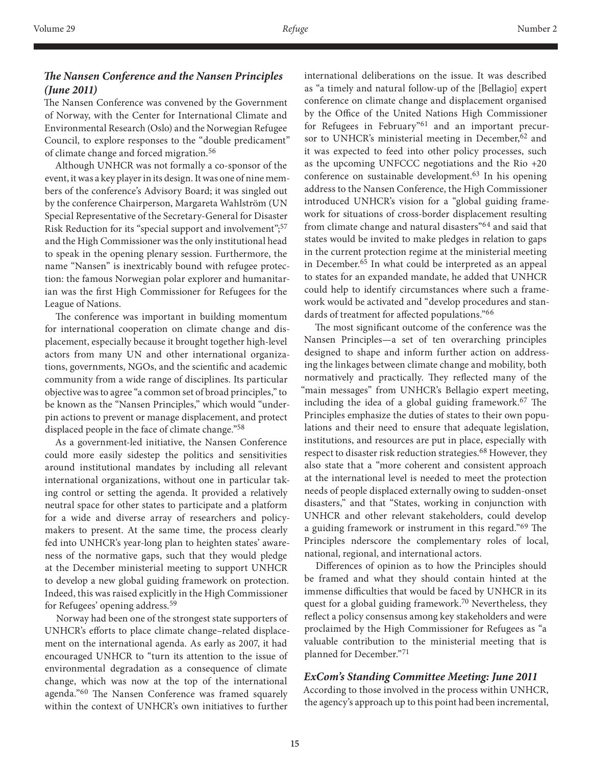# *The Nansen Conference and the Nansen Principles (June 2011)*

The Nansen Conference was convened by the Government of Norway, with the Center for International Climate and Environmental Research (Oslo) and the Norwegian Refugee Council, to explore responses to the "double predicament" of climate change and forced migration.<sup>56</sup>

Although UNHCR was not formally a co-sponsor of the event, it was a key player in its design. It was one of nine members of the conference's Advisory Board; it was singled out by the conference Chairperson, Margareta Wahlström (UN Special Representative of the Secretary-General for Disaster Risk Reduction for its "special support and involvement";<sup>57</sup> and the High Commissioner was the only institutional head to speak in the opening plenary session. Furthermore, the name "Nansen" is inextricably bound with refugee protection: the famous Norwegian polar explorer and humanitarian was the first High Commissioner for Refugees for the League of Nations.

The conference was important in building momentum for international cooperation on climate change and displacement, especially because it brought together high-level actors from many UN and other international organizations, governments, NGOs, and the scientific and academic community from a wide range of disciplines. Its particular objective was to agree "a common set of broad principles," to be known as the "Nansen Principles," which would "underpin actions to prevent or manage displacement, and protect displaced people in the face of climate change."58

As a government-led initiative, the Nansen Conference could more easily sidestep the politics and sensitivities around institutional mandates by including all relevant international organizations, without one in particular taking control or setting the agenda. It provided a relatively neutral space for other states to participate and a platform for a wide and diverse array of researchers and policymakers to present. At the same time, the process clearly fed into UNHCR's year-long plan to heighten states' awareness of the normative gaps, such that they would pledge at the December ministerial meeting to support UNHCR to develop a new global guiding framework on protection. Indeed, this was raised explicitly in the High Commissioner for Refugees' opening address.<sup>59</sup>

Norway had been one of the strongest state supporters of UNHCR's efforts to place climate change–related displacement on the international agenda. As early as 2007, it had encouraged UNHCR to "turn its attention to the issue of environmental degradation as a consequence of climate change, which was now at the top of the international agenda."60 The Nansen Conference was framed squarely within the context of UNHCR's own initiatives to further

international deliberations on the issue. It was described as "a timely and natural follow-up of the [Bellagio] expert conference on climate change and displacement organised by the Office of the United Nations High Commissioner for Refugees in February"<sup>61</sup> and an important precursor to UNHCR's ministerial meeting in December,<sup>62</sup> and it was expected to feed into other policy processes, such as the upcoming UNFCCC negotiations and the Rio +20 conference on sustainable development.<sup>63</sup> In his opening address to the Nansen Conference, the High Commissioner introduced UNHCR's vision for a "global guiding framework for situations of cross-border displacement resulting from climate change and natural disasters"64 and said that states would be invited to make pledges in relation to gaps in the current protection regime at the ministerial meeting in December.<sup>65</sup> In what could be interpreted as an appeal to states for an expanded mandate, he added that UNHCR could help to identify circumstances where such a framework would be activated and "develop procedures and standards of treatment for affected populations."<sup>66</sup>

The most significant outcome of the conference was the Nansen Principles—a set of ten overarching principles designed to shape and inform further action on addressing the linkages between climate change and mobility, both normatively and practically. They reflected many of the "main messages" from UNHCR's Bellagio expert meeting, including the idea of a global guiding framework.<sup>67</sup> The Principles emphasize the duties of states to their own populations and their need to ensure that adequate legislation, institutions, and resources are put in place, especially with respect to disaster risk reduction strategies.<sup>68</sup> However, they also state that a "more coherent and consistent approach at the international level is needed to meet the protection needs of people displaced externally owing to sudden-onset disasters," and that "States, working in conjunction with UNHCR and other relevant stakeholders, could develop a guiding framework or instrument in this regard."69 The Principles nderscore the complementary roles of local, national, regional, and international actors.

Differences of opinion as to how the Principles should be framed and what they should contain hinted at the immense difficulties that would be faced by UNHCR in its quest for a global guiding framework.<sup>70</sup> Nevertheless, they reflect a policy consensus among key stakeholders and were proclaimed by the High Commissioner for Refugees as "a valuable contribution to the ministerial meeting that is planned for December."<sup>71</sup>

## *ExCom's Standing Committee Meeting: June 2011*

According to those involved in the process within UNHCR, the agency's approach up to this point had been incremental,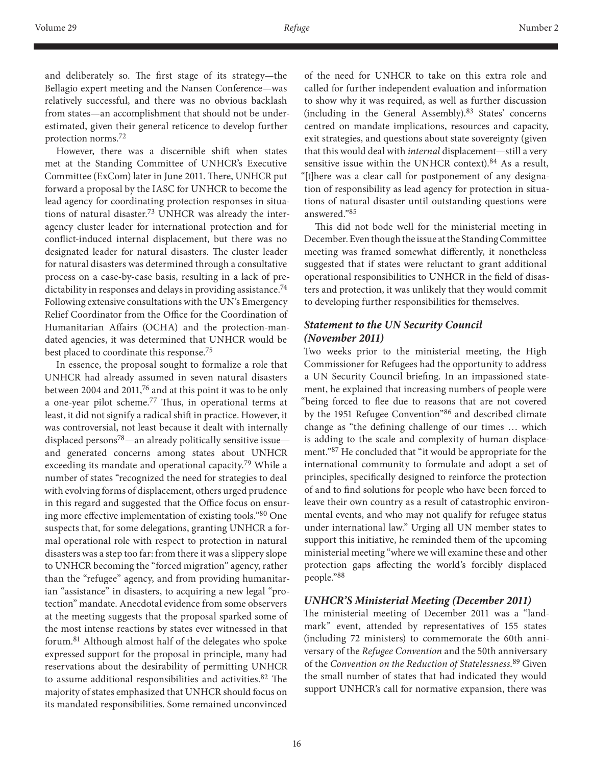and deliberately so. The first stage of its strategy—the Bellagio expert meeting and the Nansen Conference—was relatively successful, and there was no obvious backlash from states—an accomplishment that should not be underestimated, given their general reticence to develop further protection norms.72

However, there was a discernible shift when states met at the Standing Committee of UNHCR's Executive Committee (ExCom) later in June 2011. There, UNHCR put forward a proposal by the IASC for UNHCR to become the lead agency for coordinating protection responses in situations of natural disaster.73 UNHCR was already the interagency cluster leader for international protection and for conflict-induced internal displacement, but there was no designated leader for natural disasters. The cluster leader for natural disasters was determined through a consultative process on a case-by-case basis, resulting in a lack of predictability in responses and delays in providing assistance.<sup>74</sup> Following extensive consultations with the UN's Emergency Relief Coordinator from the Office for the Coordination of Humanitarian Affairs (OCHA) and the protection-mandated agencies, it was determined that UNHCR would be best placed to coordinate this response.75

In essence, the proposal sought to formalize a role that UNHCR had already assumed in seven natural disasters between 2004 and 2011,<sup>76</sup> and at this point it was to be only a one-year pilot scheme.77 Thus, in operational terms at least, it did not signify a radical shift in practice. However, it was controversial, not least because it dealt with internally displaced persons<sup>78</sup>—an already politically sensitive issue and generated concerns among states about UNHCR exceeding its mandate and operational capacity.<sup>79</sup> While a number of states "recognized the need for strategies to deal with evolving forms of displacement, others urged prudence in this regard and suggested that the Office focus on ensuring more effective implementation of existing tools."80 One suspects that, for some delegations, granting UNHCR a formal operational role with respect to protection in natural disasters was a step too far: from there it was a slippery slope to UNHCR becoming the "forced migration" agency, rather than the "refugee" agency, and from providing humanitarian "assistance" in disasters, to acquiring a new legal "protection" mandate. Anecdotal evidence from some observers at the meeting suggests that the proposal sparked some of the most intense reactions by states ever witnessed in that forum.81 Although almost half of the delegates who spoke expressed support for the proposal in principle, many had reservations about the desirability of permitting UNHCR to assume additional responsibilities and activities.<sup>82</sup> The majority of states emphasized that UNHCR should focus on its mandated responsibilities. Some remained unconvinced

of the need for UNHCR to take on this extra role and called for further independent evaluation and information to show why it was required, as well as further discussion (including in the General Assembly).83 States' concerns centred on mandate implications, resources and capacity, exit strategies, and questions about state sovereignty (given that this would deal with *internal* displacement—still a very sensitive issue within the UNHCR context).84 As a result, "[t]here was a clear call for postponement of any designation of responsibility as lead agency for protection in situations of natural disaster until outstanding questions were answered."<sup>85</sup>

This did not bode well for the ministerial meeting in December. Even though the issue at the Standing Committee meeting was framed somewhat differently, it nonetheless suggested that if states were reluctant to grant additional operational responsibilities to UNHCR in the field of disasters and protection, it was unlikely that they would commit to developing further responsibilities for themselves.

## *Statement to the UN Security Council (November 2011)*

Two weeks prior to the ministerial meeting, the High Commissioner for Refugees had the opportunity to address a UN Security Council briefing. In an impassioned statement, he explained that increasing numbers of people were "being forced to flee due to reasons that are not covered by the 1951 Refugee Convention"86 and described climate change as "the defining challenge of our times … which is adding to the scale and complexity of human displacement."87 He concluded that "it would be appropriate for the international community to formulate and adopt a set of principles, specifically designed to reinforce the protection of and to find solutions for people who have been forced to leave their own country as a result of catastrophic environmental events, and who may not qualify for refugee status under international law." Urging all UN member states to support this initiative, he reminded them of the upcoming ministerial meeting "where we will examine these and other protection gaps affecting the world's forcibly displaced people."<sup>88</sup>

## *UNHCR'S Ministerial Meeting (December 2011)*

The ministerial meeting of December 2011 was a "landmark" event, attended by representatives of 155 states (including 72 ministers) to commemorate the 60th anniversary of the *Refugee Convention* and the 50th anniversary of the *Convention on the Reduction of Statelessness*. 89 Given the small number of states that had indicated they would support UNHCR's call for normative expansion, there was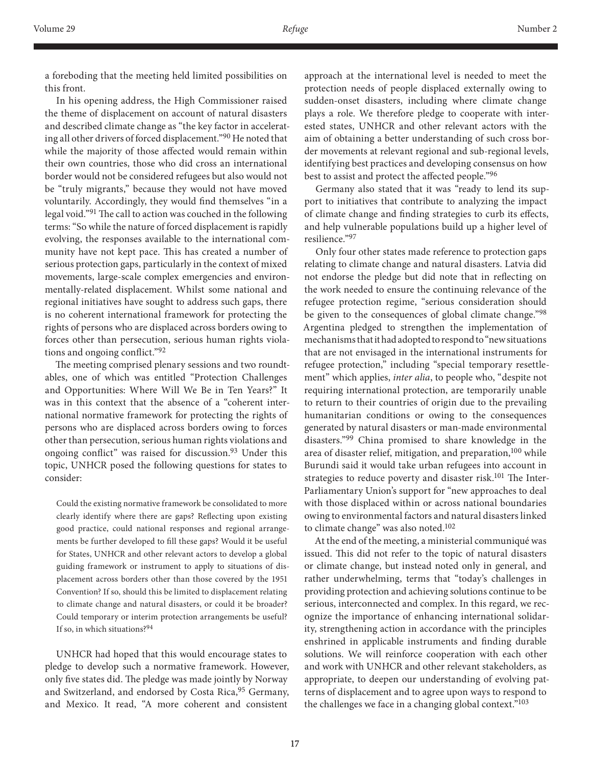a foreboding that the meeting held limited possibilities on this front.

In his opening address, the High Commissioner raised the theme of displacement on account of natural disasters and described climate change as "the key factor in accelerating all other drivers of forced displacement."90 He noted that while the majority of those affected would remain within their own countries, those who did cross an international border would not be considered refugees but also would not be "truly migrants," because they would not have moved voluntarily. Accordingly, they would find themselves "in a legal void."91 The call to action was couched in the following terms: "So while the nature of forced displacement is rapidly evolving, the responses available to the international community have not kept pace. This has created a number of serious protection gaps, particularly in the context of mixed movements, large-scale complex emergencies and environmentally-related displacement. Whilst some national and regional initiatives have sought to address such gaps, there is no coherent international framework for protecting the rights of persons who are displaced across borders owing to forces other than persecution, serious human rights violations and ongoing conflict."<sup>92</sup>

The meeting comprised plenary sessions and two roundtables, one of which was entitled "Protection Challenges and Opportunities: Where Will We Be in Ten Years?" It was in this context that the absence of a "coherent international normative framework for protecting the rights of persons who are displaced across borders owing to forces other than persecution, serious human rights violations and ongoing conflict" was raised for discussion.<sup>93</sup> Under this topic, UNHCR posed the following questions for states to consider:

Could the existing normative framework be consolidated to more clearly identify where there are gaps? Reflecting upon existing good practice, could national responses and regional arrangements be further developed to fill these gaps? Would it be useful for States, UNHCR and other relevant actors to develop a global guiding framework or instrument to apply to situations of displacement across borders other than those covered by the 1951 Convention? If so, should this be limited to displacement relating to climate change and natural disasters, or could it be broader? Could temporary or interim protection arrangements be useful? If so, in which situations?<sup>94</sup>

UNHCR had hoped that this would encourage states to pledge to develop such a normative framework. However, only five states did. The pledge was made jointly by Norway and Switzerland, and endorsed by Costa Rica, 95 Germany, and Mexico. It read, "A more coherent and consistent

approach at the international level is needed to meet the protection needs of people displaced externally owing to sudden-onset disasters, including where climate change plays a role. We therefore pledge to cooperate with interested states, UNHCR and other relevant actors with the aim of obtaining a better understanding of such cross border movements at relevant regional and sub-regional levels, identifying best practices and developing consensus on how best to assist and protect the affected people."<sup>96</sup>

Germany also stated that it was "ready to lend its support to initiatives that contribute to analyzing the impact of climate change and finding strategies to curb its effects, and help vulnerable populations build up a higher level of resilience."<sup>97</sup>

Only four other states made reference to protection gaps relating to climate change and natural disasters. Latvia did not endorse the pledge but did note that in reflecting on the work needed to ensure the continuing relevance of the refugee protection regime, "serious consideration should be given to the consequences of global climate change."98 Argentina pledged to strengthen the implementation of mechanisms that it had adopted to respond to "new situations that are not envisaged in the international instruments for refugee protection," including "special temporary resettlement" which applies, *inter alia*, to people who, "despite not requiring international protection, are temporarily unable to return to their countries of origin due to the prevailing humanitarian conditions or owing to the consequences generated by natural disasters or man-made environmental disasters."99 China promised to share knowledge in the area of disaster relief, mitigation, and preparation,<sup>100</sup> while Burundi said it would take urban refugees into account in strategies to reduce poverty and disaster risk.<sup>101</sup> The Inter-Parliamentary Union's support for "new approaches to deal with those displaced within or across national boundaries owing to environmental factors and natural disasters linked to climate change" was also noted. $102$ 

At the end of the meeting, a ministerial communiqué was issued. This did not refer to the topic of natural disasters or climate change, but instead noted only in general, and rather underwhelming, terms that "today's challenges in providing protection and achieving solutions continue to be serious, interconnected and complex. In this regard, we recognize the importance of enhancing international solidarity, strengthening action in accordance with the principles enshrined in applicable instruments and finding durable solutions. We will reinforce cooperation with each other and work with UNHCR and other relevant stakeholders, as appropriate, to deepen our understanding of evolving patterns of displacement and to agree upon ways to respond to the challenges we face in a changing global context."103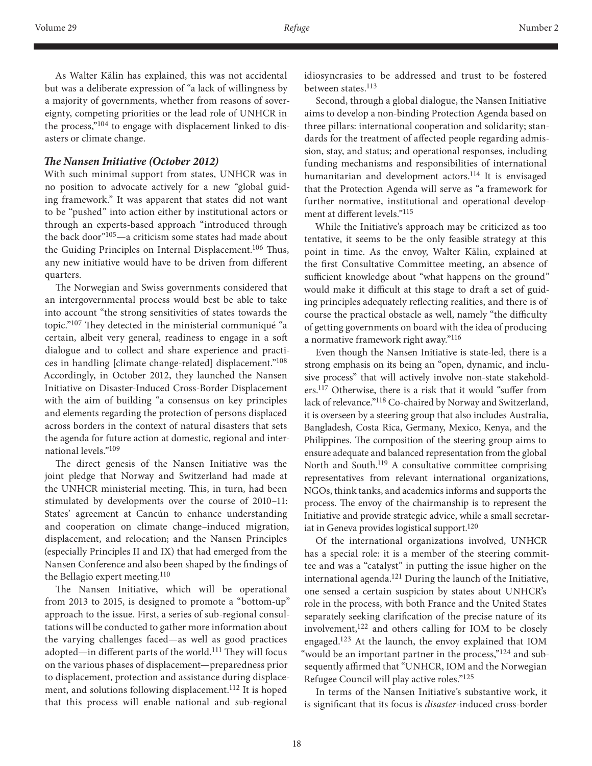As Walter Kälin has explained, this was not accidental but was a deliberate expression of "a lack of willingness by a majority of governments, whether from reasons of sovereignty, competing priorities or the lead role of UNHCR in the process,"<sup>104</sup> to engage with displacement linked to disasters or climate change.

#### *The Nansen Initiative (October 2012)*

With such minimal support from states, UNHCR was in no position to advocate actively for a new "global guiding framework." It was apparent that states did not want to be "pushed" into action either by institutional actors or through an experts-based approach "introduced through the back door"105—a criticism some states had made about the Guiding Principles on Internal Displacement.<sup>106</sup> Thus, any new initiative would have to be driven from different quarters.

The Norwegian and Swiss governments considered that an intergovernmental process would best be able to take into account "the strong sensitivities of states towards the topic."107 They detected in the ministerial communiqué "a certain, albeit very general, readiness to engage in a soft dialogue and to collect and share experience and practices in handling [climate change-related] displacement."108 Accordingly, in October 2012, they launched the Nansen Initiative on Disaster-Induced Cross-Border Displacement with the aim of building "a consensus on key principles and elements regarding the protection of persons displaced across borders in the context of natural disasters that sets the agenda for future action at domestic, regional and international levels."109

The direct genesis of the Nansen Initiative was the joint pledge that Norway and Switzerland had made at the UNHCR ministerial meeting. This, in turn, had been stimulated by developments over the course of 2010–11: States' agreement at Cancún to enhance understanding and cooperation on climate change–induced migration, displacement, and relocation; and the Nansen Principles (especially Principles II and IX) that had emerged from the Nansen Conference and also been shaped by the findings of the Bellagio expert meeting.<sup>110</sup>

The Nansen Initiative, which will be operational from 2013 to 2015, is designed to promote a "bottom-up" approach to the issue. First, a series of sub-regional consultations will be conducted to gather more information about the varying challenges faced—as well as good practices adopted—in different parts of the world.111 They will focus on the various phases of displacement—preparedness prior to displacement, protection and assistance during displacement, and solutions following displacement.112 It is hoped that this process will enable national and sub-regional

idiosyncrasies to be addressed and trust to be fostered between states.<sup>113</sup>

Second, through a global dialogue, the Nansen Initiative aims to develop a non-binding Protection Agenda based on three pillars: international cooperation and solidarity; standards for the treatment of affected people regarding admission, stay, and status; and operational responses, including funding mechanisms and responsibilities of international humanitarian and development actors.114 It is envisaged that the Protection Agenda will serve as "a framework for further normative, institutional and operational development at different levels."115

While the Initiative's approach may be criticized as too tentative, it seems to be the only feasible strategy at this point in time. As the envoy, Walter Kälin, explained at the first Consultative Committee meeting, an absence of sufficient knowledge about "what happens on the ground" would make it difficult at this stage to draft a set of guiding principles adequately reflecting realities, and there is of course the practical obstacle as well, namely "the difficulty of getting governments on board with the idea of producing a normative framework right away."116

Even though the Nansen Initiative is state-led, there is a strong emphasis on its being an "open, dynamic, and inclusive process" that will actively involve non-state stakeholders.117 Otherwise, there is a risk that it would "suffer from lack of relevance."118 Co-chaired by Norway and Switzerland, it is overseen by a steering group that also includes Australia, Bangladesh, Costa Rica, Germany, Mexico, Kenya, and the Philippines. The composition of the steering group aims to ensure adequate and balanced representation from the global North and South.119 A consultative committee comprising representatives from relevant international organizations, NGOs, think tanks, and academics informs and supports the process. The envoy of the chairmanship is to represent the Initiative and provide strategic advice, while a small secretariat in Geneva provides logistical support.<sup>120</sup>

Of the international organizations involved, UNHCR has a special role: it is a member of the steering committee and was a "catalyst" in putting the issue higher on the international agenda.121 During the launch of the Initiative, one sensed a certain suspicion by states about UNHCR's role in the process, with both France and the United States separately seeking clarification of the precise nature of its involvement,122 and others calling for IOM to be closely engaged.123 At the launch, the envoy explained that IOM "would be an important partner in the process,"<sup>124</sup> and subsequently affirmed that "UNHCR, IOM and the Norwegian Refugee Council will play active roles."125

In terms of the Nansen Initiative's substantive work, it is significant that its focus is *disaster*-induced cross-border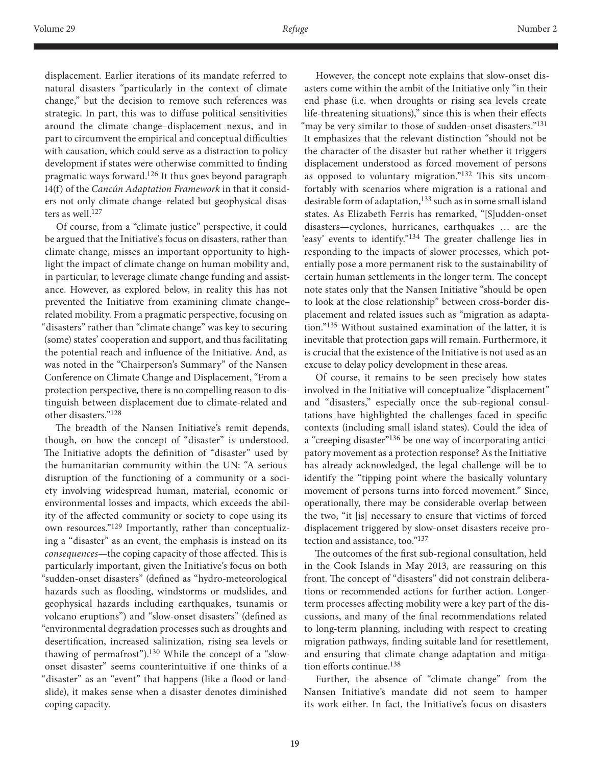displacement. Earlier iterations of its mandate referred to natural disasters "particularly in the context of climate change," but the decision to remove such references was strategic. In part, this was to diffuse political sensitivities around the climate change–displacement nexus, and in part to circumvent the empirical and conceptual difficulties with causation, which could serve as a distraction to policy development if states were otherwise committed to finding pragmatic ways forward.126 It thus goes beyond paragraph 14(f) of the *Cancún Adaptation Framework* in that it considers not only climate change–related but geophysical disasters as well.<sup>127</sup>

Of course, from a "climate justice" perspective, it could be argued that the Initiative's focus on disasters, rather than climate change, misses an important opportunity to highlight the impact of climate change on human mobility and, in particular, to leverage climate change funding and assistance. However, as explored below, in reality this has not prevented the Initiative from examining climate change– related mobility. From a pragmatic perspective, focusing on "disasters" rather than "climate change" was key to securing (some) states' cooperation and support, and thus facilitating the potential reach and influence of the Initiative. And, as was noted in the "Chairperson's Summary" of the Nansen Conference on Climate Change and Displacement, "From a protection perspective, there is no compelling reason to distinguish between displacement due to climate-related and other disasters."128

The breadth of the Nansen Initiative's remit depends, though, on how the concept of "disaster" is understood. The Initiative adopts the definition of "disaster" used by the humanitarian community within the UN: "A serious disruption of the functioning of a community or a society involving widespread human, material, economic or environmental losses and impacts, which exceeds the ability of the affected community or society to cope using its own resources."<sup>129</sup> Importantly, rather than conceptualizing a "disaster" as an event, the emphasis is instead on its *consequences*—the coping capacity of those affected. This is particularly important, given the Initiative's focus on both "sudden-onset disasters" (defined as "hydro-meteorological hazards such as flooding, windstorms or mudslides, and geophysical hazards including earthquakes, tsunamis or volcano eruptions") and "slow-onset disasters" (defined as "environmental degradation processes such as droughts and desertification, increased salinization, rising sea levels or thawing of permafrost").<sup>130</sup> While the concept of a "slowonset disaster" seems counterintuitive if one thinks of a "disaster" as an "event" that happens (like a flood or landslide), it makes sense when a disaster denotes diminished coping capacity.

However, the concept note explains that slow-onset disasters come within the ambit of the Initiative only "in their end phase (i.e. when droughts or rising sea levels create life-threatening situations)," since this is when their effects "may be very similar to those of sudden-onset disasters."<sup>131</sup> It emphasizes that the relevant distinction "should not be the character of the disaster but rather whether it triggers displacement understood as forced movement of persons as opposed to voluntary migration."132 This sits uncomfortably with scenarios where migration is a rational and desirable form of adaptation,<sup>133</sup> such as in some small island states. As Elizabeth Ferris has remarked, "[S]udden-onset disasters—cyclones, hurricanes, earthquakes … are the 'easy' events to identify."134 The greater challenge lies in responding to the impacts of slower processes, which potentially pose a more permanent risk to the sustainability of certain human settlements in the longer term. The concept note states only that the Nansen Initiative "should be open to look at the close relationship" between cross-border displacement and related issues such as "migration as adaptation."135 Without sustained examination of the latter, it is inevitable that protection gaps will remain. Furthermore, it is crucial that the existence of the Initiative is not used as an excuse to delay policy development in these areas.

Of course, it remains to be seen precisely how states involved in the Initiative will conceptualize "displacement" and "disasters," especially once the sub-regional consultations have highlighted the challenges faced in specific contexts (including small island states). Could the idea of a "creeping disaster"<sup>136</sup> be one way of incorporating anticipatory movement as a protection response? As the Initiative has already acknowledged, the legal challenge will be to identify the "tipping point where the basically voluntary movement of persons turns into forced movement." Since, operationally, there may be considerable overlap between the two, "it [is] necessary to ensure that victims of forced displacement triggered by slow-onset disasters receive protection and assistance, too."137

The outcomes of the first sub-regional consultation, held in the Cook Islands in May 2013, are reassuring on this front. The concept of "disasters" did not constrain deliberations or recommended actions for further action. Longerterm processes affecting mobility were a key part of the discussions, and many of the final recommendations related to long-term planning, including with respect to creating migration pathways, finding suitable land for resettlement, and ensuring that climate change adaptation and mitigation efforts continue.138

Further, the absence of "climate change" from the Nansen Initiative's mandate did not seem to hamper its work either. In fact, the Initiative's focus on disasters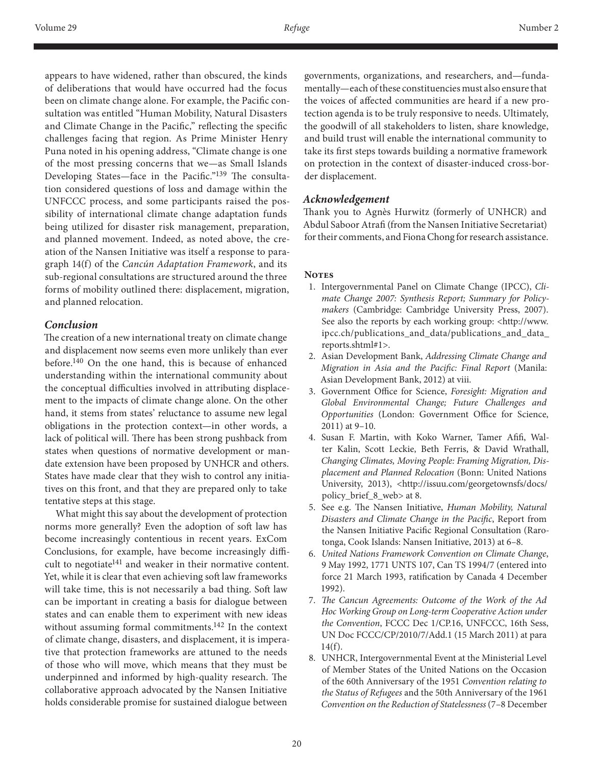appears to have widened, rather than obscured, the kinds of deliberations that would have occurred had the focus been on climate change alone. For example, the Pacific consultation was entitled "Human Mobility, Natural Disasters and Climate Change in the Pacific," reflecting the specific challenges facing that region. As Prime Minister Henry Puna noted in his opening address, "Climate change is one of the most pressing concerns that we—as Small Islands Developing States—face in the Pacific."139 The consultation considered questions of loss and damage within the UNFCCC process, and some participants raised the possibility of international climate change adaptation funds being utilized for disaster risk management, preparation, and planned movement. Indeed, as noted above, the creation of the Nansen Initiative was itself a response to paragraph 14(f) of the *Cancún Adaptation Framework*, and its sub-regional consultations are structured around the three forms of mobility outlined there: displacement, migration, and planned relocation.

## *Conclusion*

The creation of a new international treaty on climate change and displacement now seems even more unlikely than ever before.<sup>140</sup> On the one hand, this is because of enhanced understanding within the international community about the conceptual difficulties involved in attributing displacement to the impacts of climate change alone. On the other hand, it stems from states' reluctance to assume new legal obligations in the protection context—in other words, a lack of political will. There has been strong pushback from states when questions of normative development or mandate extension have been proposed by UNHCR and others. States have made clear that they wish to control any initiatives on this front, and that they are prepared only to take tentative steps at this stage.

What might this say about the development of protection norms more generally? Even the adoption of soft law has become increasingly contentious in recent years. ExCom Conclusions, for example, have become increasingly difficult to negotiate<sup>141</sup> and weaker in their normative content. Yet, while it is clear that even achieving soft law frameworks will take time, this is not necessarily a bad thing. Soft law can be important in creating a basis for dialogue between states and can enable them to experiment with new ideas without assuming formal commitments.142 In the context of climate change, disasters, and displacement, it is imperative that protection frameworks are attuned to the needs of those who will move, which means that they must be underpinned and informed by high-quality research. The collaborative approach advocated by the Nansen Initiative holds considerable promise for sustained dialogue between

governments, organizations, and researchers, and—fundamentally—each of these constituencies must also ensure that the voices of affected communities are heard if a new protection agenda is to be truly responsive to needs. Ultimately, the goodwill of all stakeholders to listen, share knowledge, and build trust will enable the international community to take its first steps towards building a normative framework on protection in the context of disaster-induced cross-border displacement.

## *Acknowledgement*

Thank you to Agnès Hurwitz (formerly of UNHCR) and Abdul Saboor Atrafi (from the Nansen Initiative Secretariat) for their comments, and Fiona Chong for research assistance.

#### **NOTES**

- 1. Intergovernmental Panel on Climate Change (IPCC), *Climate Change 2007: Synthesis Report; Summary for Policymakers* (Cambridge: Cambridge University Press, 2007). See also the reports by each working group: <http://www. ipcc.ch/publications\_and\_data/publications\_and\_data\_ reports.shtml#1>.
- 2. Asian Development Bank, *Addressing Climate Change and Migration in Asia and the Pacific: Final Report* (Manila: Asian Development Bank, 2012) at viii.
- 3. Government Office for Science, *Foresight: Migration and Global Environmental Change; Future Challenges and Opportunities* (London: Government Office for Science, 2011) at 9–10.
- 4. Susan F. Martin, with Koko Warner, Tamer Afifi, Walter Kalin, Scott Leckie, Beth Ferris, & David Wrathall, *Changing Climates, Moving People: Framing Migration, Displacement and Planned Relocation* (Bonn: United Nations University, 2013), <http://issuu.com/georgetownsfs/docs/ policy\_brief\_8\_web> at 8.
- 5. See e.g. The Nansen Initiative, *Human Mobility, Natural Disasters and Climate Change in the Pacific*, Report from the Nansen Initiative Pacific Regional Consultation (Rarotonga, Cook Islands: Nansen Initiative, 2013) at 6–8.
- 6. *United Nations Framework Convention on Climate Change*, 9 May 1992, 1771 UNTS 107, Can TS 1994/7 (entered into force 21 March 1993, ratification by Canada 4 December 1992).
- 7. *The Cancun Agreements: Outcome of the Work of the Ad Hoc Working Group on Long-term Cooperative Action under the Convention*, FCCC Dec 1/CP.16, UNFCCC, 16th Sess, UN Doc FCCC/CP/2010/7/Add.1 (15 March 2011) at para 14(f).
- 8. UNHCR, Intergovernmental Event at the Ministerial Level of Member States of the United Nations on the Occasion of the 60th Anniversary of the 1951 *Convention relating to the Status of Refugees* and the 50th Anniversary of the 1961 *Convention on the Reduction of Statelessness* (7–8 December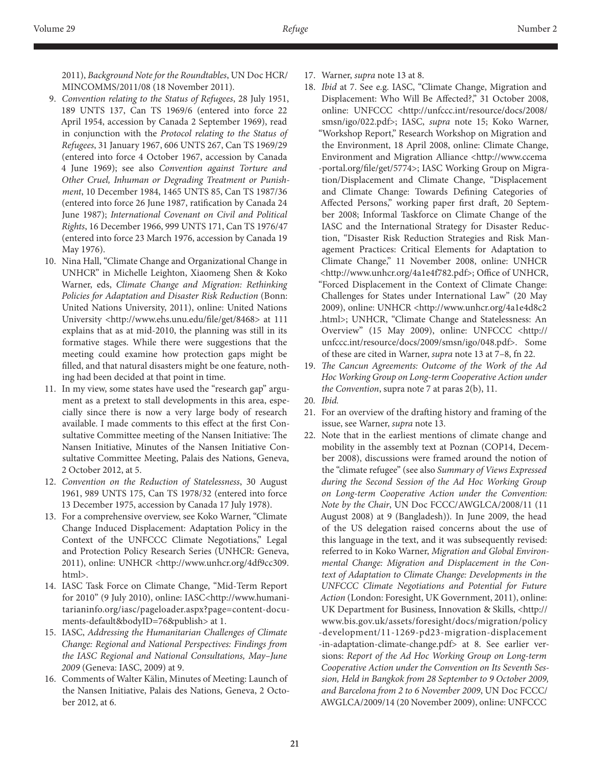2011), *Background Note for the Roundtables*, UN Doc HCR/ MINCOMMS/2011/08 (18 November 2011).

- 9. *Convention relating to the Status of Refugees*, 28 July 1951, 189 UNTS 137, Can TS 1969/6 (entered into force 22 April 1954, accession by Canada 2 September 1969), read in conjunction with the *Protocol relating to the Status of Refugees*, 31 January 1967, 606 UNTS 267, Can TS 1969/29 (entered into force 4 October 1967, accession by Canada 4 June 1969); see also *Convention against Torture and Other Cruel, Inhuman or Degrading Treatment or Punishment*, 10 December 1984, 1465 UNTS 85, Can TS 1987/36 (entered into force 26 June 1987, ratification by Canada 24 June 1987); *International Covenant on Civil and Political Rights*, 16 December 1966, 999 UNTS 171, Can TS 1976/47 (entered into force 23 March 1976, accession by Canada 19 May 1976).
- 10. Nina Hall, "Climate Change and Organizational Change in UNHCR" in Michelle Leighton, Xiaomeng Shen & Koko Warner, eds, *Climate Change and Migration: Rethinking Policies for Adaptation and Disaster Risk Reduction* (Bonn: United Nations University, 2011), online: United Nations University <http://www.ehs.unu.edu/file/get/8468> at 111 explains that as at mid-2010, the planning was still in its formative stages. While there were suggestions that the meeting could examine how protection gaps might be filled, and that natural disasters might be one feature, nothing had been decided at that point in time.
- 11. In my view, some states have used the "research gap" argument as a pretext to stall developments in this area, especially since there is now a very large body of research available. I made comments to this effect at the first Consultative Committee meeting of the Nansen Initiative: The Nansen Initiative, Minutes of the Nansen Initiative Consultative Committee Meeting, Palais des Nations, Geneva, 2 October 2012, at 5.
- 12. *Convention on the Reduction of Statelessness*, 30 August 1961, 989 UNTS 175, Can TS 1978/32 (entered into force 13 December 1975, accession by Canada 17 July 1978).
- 13. For a comprehensive overview, see Koko Warner, "Climate Change Induced Displacement: Adaptation Policy in the Context of the UNFCCC Climate Negotiations," Legal and Protection Policy Research Series (UNHCR: Geneva, 2011), online: UNHCR <http://www.unhcr.org/4df9cc309. html>.
- 14. IASC Task Force on Climate Change, "Mid-Term Report for 2010" (9 July 2010), online: IASC<http://www.humanitarianinfo.org/iasc/pageloader.aspx?page=content-documents-default&bodyID=76&publish> at 1.
- 15. IASC, *Addressing the Humanitarian Challenges of Climate Change: Regional and National Perspectives: Findings from the IASC Regional and National Consultations, May–June 2009* (Geneva: IASC, 2009) at 9.
- 16. Comments of Walter Kälin, Minutes of Meeting: Launch of the Nansen Initiative, Palais des Nations, Geneva, 2 October 2012, at 6.
- 17. Warner, *supra* note 13 at 8.
- 18. *Ibid* at 7. See e.g. IASC, "Climate Change, Migration and Displacement: Who Will Be Affected?," 31 October 2008, online: UNFCCC <http://unfccc.int/resource/docs/2008/ smsn/igo/022.pdf>; IASC, *supra* note 15; Koko Warner, "Workshop Report," Research Workshop on Migration and the Environment, 18 April 2008, online: Climate Change, Environment and Migration Alliance <http://www.ccema -portal.org/file/get/5774>; IASC Working Group on Migration/Displacement and Climate Change, "Displacement and Climate Change: Towards Defining Categories of Affected Persons," working paper first draft, 20 September 2008; Informal Taskforce on Climate Change of the IASC and the International Strategy for Disaster Reduction, "Disaster Risk Reduction Strategies and Risk Management Practices: Critical Elements for Adaptation to Climate Change," 11 November 2008, online: UNHCR <http://www.unhcr.org/4a1e4f782.pdf>; Office of UNHCR, "Forced Displacement in the Context of Climate Change: Challenges for States under International Law" (20 May 2009), online: UNHCR <http://www.unhcr.org/4a1e4d8c2 .html>; UNHCR, "Climate Change and Statelessness: An Overview" (15 May 2009), online: UNFCCC <http:// unfccc.int/resource/docs/2009/smsn/igo/048.pdf>. Some of these are cited in Warner, *supra* note 13 at 7–8, fn 22.
- 19. *The Cancun Agreements: Outcome of the Work of the Ad Hoc Working Group on Long-term Cooperative Action under the Convention*, supra note 7 at paras 2(b), 11.
- 20*. Ibid.*
- 21. For an overview of the drafting history and framing of the issue, see Warner, *supra* note 13.
- 22. Note that in the earliest mentions of climate change and mobility in the assembly text at Poznan (COP14, December 2008), discussions were framed around the notion of the "climate refugee" (see also *Summary of Views Expressed during the Second Session of the Ad Hoc Working Group on Long-term Cooperative Action under the Convention: Note by the Chair*, UN Doc FCCC/AWGLCA/2008/11 (11 August 2008) at 9 (Bangladesh)). In June 2009, the head of the US delegation raised concerns about the use of this language in the text, and it was subsequently revised: referred to in Koko Warner, *Migration and Global Environmental Change: Migration and Displacement in the Context of Adaptation to Climate Change: Developments in the UNFCCC Climate Negotiations and Potential for Future Action* (London: Foresight, UK Government, 2011), online: UK Department for Business, Innovation & Skills, <http:// www.bis.gov.uk/assets/foresight/docs/migration/policy -development/11-1269-pd23-migration-displacement -in-adaptation-climate-change.pdf> at 8. See earlier versions: *Report of the Ad Hoc Working Group on Long-term Cooperative Action under the Convention on Its Seventh Session, Held in Bangkok from 28 September to 9 October 2009, and Barcelona from 2 to 6 November 2009*, UN Doc FCCC/ AWGLCA/2009/14 (20 November 2009), online: UNFCCC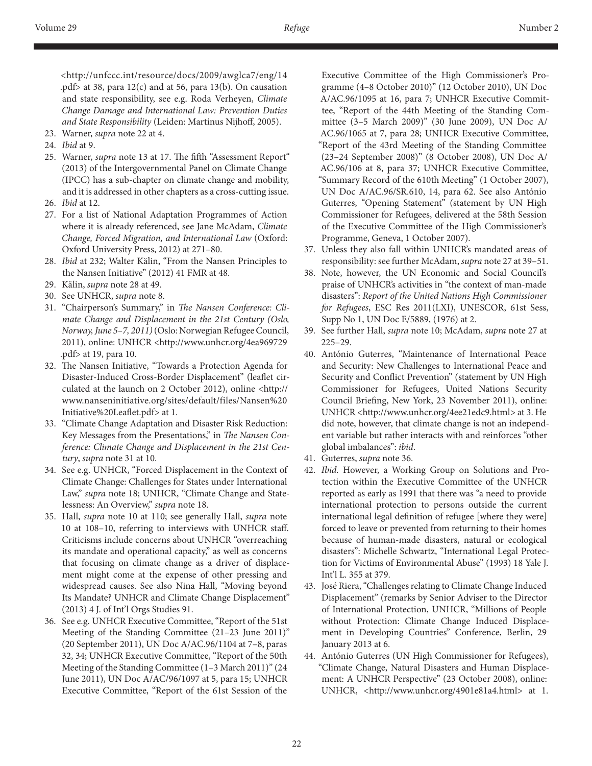<http://unfccc.int/resource/docs/2009/awglca7/eng/14 .pdf> at 38, para 12(c) and at 56, para 13(b). On causation and state responsibility, see e.g. Roda Verheyen, *Climate Change Damage and International Law: Prevention Duties and State Responsibility* (Leiden: Martinus Nijhoff, 2005).

- 23. Warner, *supra* note 22 at 4.
- 24. *Ibid* at 9.
- 25. Warner, *supra* note 13 at 17. The fifth "Assessment Report" (2013) of the Intergovernmental Panel on Climate Change (IPCC) has a sub-chapter on climate change and mobility, and it is addressed in other chapters as a cross-cutting issue.
- 26. *Ibid* at 12.
- 27. For a list of National Adaptation Programmes of Action where it is already referenced, see Jane McAdam, *Climate Change, Forced Migration, and International Law* (Oxford: Oxford University Press, 2012) at 271–80.
- 28. *Ibid* at 232; Walter Kälin, "From the Nansen Principles to the Nansen Initiative" (2012) 41 FMR at 48.
- 29. Kälin, *supra* note 28 at 49.
- 30. See UNHCR, *supra* note 8.
- 31. "Chairperson's Summary," in *The Nansen Conference: Climate Change and Displacement in the 21st Century (Oslo, Norway, June 5–7, 2011)* (Oslo: Norwegian Refugee Council, 2011), online: UNHCR <http://www.unhcr.org/4ea969729 .pdf> at 19, para 10.
- 32. The Nansen Initiative, "Towards a Protection Agenda for Disaster-Induced Cross-Border Displacement" (leaflet circulated at the launch on 2 October 2012), online <http:// www.nanseninitiative.org/sites/default/files/Nansen%20 Initiative%20Leaflet.pdf> at 1.
- 33. "Climate Change Adaptation and Disaster Risk Reduction: Key Messages from the Presentations," in *The Nansen Conference: Climate Change and Displacement in the 21st Century*, *supra* note 31 at 10.
- 34. See e.g. UNHCR, "Forced Displacement in the Context of Climate Change: Challenges for States under International Law," *supra* note 18; UNHCR, "Climate Change and Statelessness: An Overview," *supra* note 18.
- 35. Hall, *supra* note 10 at 110; see generally Hall, *supra* note 10 at 108–10, referring to interviews with UNHCR staff. Criticisms include concerns about UNHCR "overreaching its mandate and operational capacity," as well as concerns that focusing on climate change as a driver of displacement might come at the expense of other pressing and widespread causes. See also Nina Hall, "Moving beyond Its Mandate? UNHCR and Climate Change Displacement" (2013) 4 J. of Int'l Orgs Studies 91.
- 36. See e.g. UNHCR Executive Committee, "Report of the 51st Meeting of the Standing Committee (21–23 June 2011)" (20 September 2011), UN Doc A/AC.96/1104 at 7–8, paras 32, 34; UNHCR Executive Committee, "Report of the 50th Meeting of the Standing Committee (1–3 March 2011)" (24 June 2011), UN Doc A/AC/96/1097 at 5, para 15; UNHCR Executive Committee, "Report of the 61st Session of the

Executive Committee of the High Commissioner's Programme (4–8 October 2010)" (12 October 2010), UN Doc A/AC.96/1095 at 16, para 7; UNHCR Executive Committee, "Report of the 44th Meeting of the Standing Committee (3–5 March 2009)" (30 June 2009), UN Doc A/ AC.96/1065 at 7, para 28; UNHCR Executive Committee, "Report of the 43rd Meeting of the Standing Committee (23–24 September 2008)" (8 October 2008), UN Doc A/ AC.96/106 at 8, para 37; UNHCR Executive Committee, "Summary Record of the 610th Meeting" (1 October 2007), UN Doc A/AC.96/SR.610, 14, para 62. See also António Guterres, "Opening Statement" (statement by UN High Commissioner for Refugees, delivered at the 58th Session of the Executive Committee of the High Commissioner's Programme, Geneva, 1 October 2007).

- 37. Unless they also fall within UNHCR's mandated areas of responsibility: see further McAdam, *supra* note 27 at 39–51.
- 38. Note, however, the UN Economic and Social Council's praise of UNHCR's activities in "the context of man-made disasters": *Report of the United Nations High Commissioner for Refugees*, ESC Res 2011(LXI), UNESCOR, 61st Sess, Supp No 1, UN Doc E/5889, (1976) at 2.
- 39. See further Hall, *supra* note 10; McAdam, *supra* note 27 at 225–29.
- 40. António Guterres, "Maintenance of International Peace and Security: New Challenges to International Peace and Security and Conflict Prevention" (statement by UN High Commissioner for Refugees, United Nations Security Council Briefing, New York, 23 November 2011), online: UNHCR <http://www.unhcr.org/4ee21edc9.html> at 3. He did note, however, that climate change is not an independent variable but rather interacts with and reinforces "other global imbalances": *ibid*.
- 41. Guterres, *supra* note 36.
- 42. *Ibid.* However, a Working Group on Solutions and Protection within the Executive Committee of the UNHCR reported as early as 1991 that there was "a need to provide international protection to persons outside the current international legal definition of refugee [where they were] forced to leave or prevented from returning to their homes because of human-made disasters, natural or ecological disasters": Michelle Schwartz, "International Legal Protection for Victims of Environmental Abuse" (1993) 18 Yale J. Int'l L. 355 at 379.
- 43. José Riera, "Challenges relating to Climate Change Induced Displacement" (remarks by Senior Adviser to the Director of International Protection, UNHCR, "Millions of People without Protection: Climate Change Induced Displacement in Developing Countries" Conference, Berlin, 29 January 2013 at 6.
- 44. António Guterres (UN High Commissioner for Refugees), "Climate Change, Natural Disasters and Human Displacement: A UNHCR Perspective" (23 October 2008), online: UNHCR, <http://www.unhcr.org/4901e81a4.html> at 1.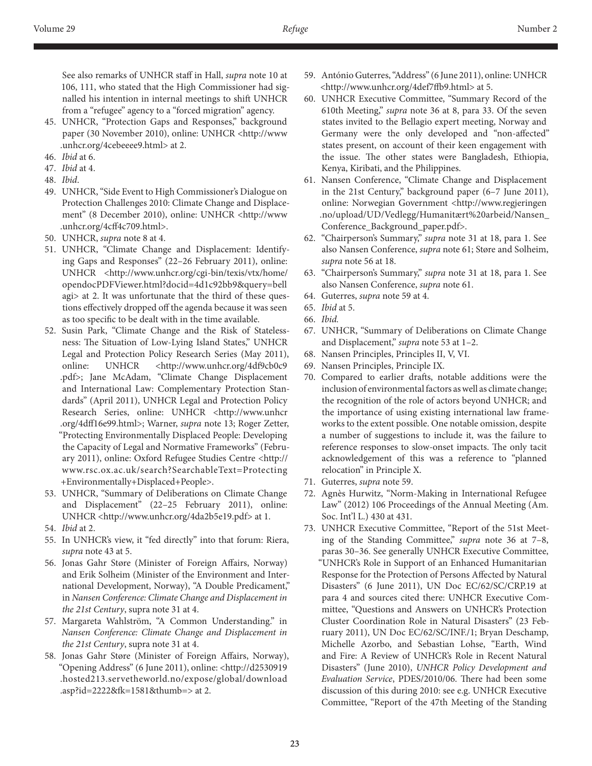See also remarks of UNHCR staff in Hall, *supra* note 10 at 106, 111, who stated that the High Commissioner had signalled his intention in internal meetings to shift UNHCR from a "refugee" agency to a "forced migration" agency.

- 45. UNHCR, "Protection Gaps and Responses," background paper (30 November 2010), online: UNHCR <http://www .unhcr.org/4cebeeee9.html> at 2.
- 46. *Ibid* at 6.
- 47. *Ibid* at 4.
- 48. *Ibid*.
- 49. UNHCR, "Side Event to High Commissioner's Dialogue on Protection Challenges 2010: Climate Change and Displacement" (8 December 2010), online: UNHCR <http://www .unhcr.org/4cff4c709.html>.
- 50. UNHCR, *supra* note 8 at 4.
- 51. UNHCR, "Climate Change and Displacement: Identifying Gaps and Responses" (22–26 February 2011), online: UNHCR <http://www.unhcr.org/cgi-bin/texis/vtx/home/ opendocPDFViewer.html?docid=4d1c92bb9&query=bell agi> at 2. It was unfortunate that the third of these questions effectively dropped off the agenda because it was seen as too specific to be dealt with in the time available.
- 52. Susin Park, "Climate Change and the Risk of Statelessness: The Situation of Low-Lying Island States," UNHCR Legal and Protection Policy Research Series (May 2011), online: UNHCR <http://www.unhcr.org/4df9cb0c9 .pdf>; Jane McAdam, "Climate Change Displacement and International Law: Complementary Protection Standards" (April 2011), UNHCR Legal and Protection Policy Research Series, online: UNHCR <http://www.unhcr .org/4dff16e99.html>; Warner, *supra* note 13; Roger Zetter, "Protecting Environmentally Displaced People: Developing the Capacity of Legal and Normative Frameworks" (February 2011), online: Oxford Refugee Studies Centre <http:// www.rsc.ox.ac.uk/search?SearchableText=Protecting +Environmentally+Displaced+People>.
- 53. UNHCR, "Summary of Deliberations on Climate Change and Displacement" (22–25 February 2011), online: UNHCR <http://www.unhcr.org/4da2b5e19.pdf> at 1.
- 54. *Ibid* at 2.
- 55. In UNHCR's view, it "fed directly" into that forum: Riera, *supra* note 43 at 5.
- 56. Jonas Gahr Støre (Minister of Foreign Affairs, Norway) and Erik Solheim (Minister of the Environment and International Development, Norway), "A Double Predicament," in *Nansen Conference: Climate Change and Displacement in the 21st Century*, supra note 31 at 4.
- 57. Margareta Wahlström, "A Common Understanding." in *Nansen Conference: Climate Change and Displacement in the 21st Century*, supra note 31 at 4.
- 58. Jonas Gahr Støre (Minister of Foreign Affairs, Norway), "Opening Address" (6 June 2011), online: <http://d2530919 .hosted213.servetheworld.no/expose/global/download .asp?id=2222&fk=1581&thumb=> at 2.
- 59. António Guterres, "Address" (6 June 2011), online: UNHCR <http://www.unhcr.org/4def7ffb9.html> at 5.
- 60. UNHCR Executive Committee, "Summary Record of the 610th Meeting," *supra* note 36 at 8, para 33. Of the seven states invited to the Bellagio expert meeting, Norway and Germany were the only developed and "non-affected" states present, on account of their keen engagement with the issue. The other states were Bangladesh, Ethiopia, Kenya, Kiribati, and the Philippines.
- 61. Nansen Conference, "Climate Change and Displacement in the 21st Century," background paper (6–7 June 2011), online: Norwegian Government <http://www.regjeringen .no/upload/UD/Vedlegg/Humanitært%20arbeid/Nansen\_ Conference\_Background\_paper.pdf>.
- 62. "Chairperson's Summary," *supra* note 31 at 18, para 1. See also Nansen Conference, *supra* note 61; Støre and Solheim, *supra* note 56 at 18.
- 63. "Chairperson's Summary," *supra* note 31 at 18, para 1. See also Nansen Conference, *supra* note 61.
- 64. Guterres, *supra* note 59 at 4.
- 65. *Ibid* at 5.
- 66. *Ibid.*
- 67. UNHCR, "Summary of Deliberations on Climate Change and Displacement," *supra* note 53 at 1–2.
- 68. Nansen Principles, Principles II, V, VI.
- 69. Nansen Principles, Principle IX.
- 70. Compared to earlier drafts, notable additions were the inclusion of environmental factors as well as climate change; the recognition of the role of actors beyond UNHCR; and the importance of using existing international law frameworks to the extent possible. One notable omission, despite a number of suggestions to include it, was the failure to reference responses to slow-onset impacts. The only tacit acknowledgement of this was a reference to "planned relocation" in Principle X.
- 71. Guterres, *supra* note 59.
- 72. Agnès Hurwitz, "Norm-Making in International Refugee Law" (2012) 106 Proceedings of the Annual Meeting (Am. Soc. Int'l L.) 430 at 431.
- 73. UNHCR Executive Committee, "Report of the 51st Meeting of the Standing Committee," *supra* note 36 at 7–8, paras 30–36. See generally UNHCR Executive Committee, "UNHCR's Role in Support of an Enhanced Humanitarian Response for the Protection of Persons Affected by Natural Disasters" (6 June 2011), UN Doc EC/62/SC/CRP.19 at para 4 and sources cited there: UNHCR Executive Committee, "Questions and Answers on UNHCR's Protection Cluster Coordination Role in Natural Disasters" (23 February 2011), UN Doc EC/62/SC/INF./1; Bryan Deschamp, Michelle Azorbo, and Sebastian Lohse, "Earth, Wind and Fire: A Review of UNHCR's Role in Recent Natural Disasters" (June 2010), *UNHCR Policy Development and Evaluation Service*, PDES/2010/06. There had been some discussion of this during 2010: see e.g. UNHCR Executive Committee, "Report of the 47th Meeting of the Standing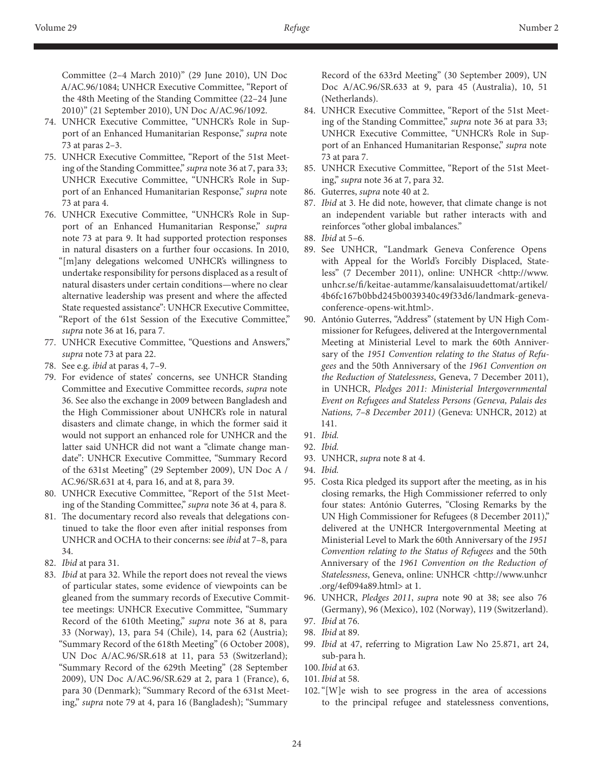Committee (2–4 March 2010)" (29 June 2010), UN Doc A/AC.96/1084; UNHCR Executive Committee, "Report of the 48th Meeting of the Standing Committee (22–24 June 2010)" (21 September 2010), UN Doc A/AC.96/1092.

- 74. UNHCR Executive Committee, "UNHCR's Role in Support of an Enhanced Humanitarian Response," *supra* note 73 at paras 2–3.
- 75. UNHCR Executive Committee, "Report of the 51st Meeting of the Standing Committee," *supra* note 36 at 7, para 33; UNHCR Executive Committee, "UNHCR's Role in Support of an Enhanced Humanitarian Response," *supra* note 73 at para 4.
- 76. UNHCR Executive Committee, "UNHCR's Role in Support of an Enhanced Humanitarian Response," *supra*  note 73 at para 9. It had supported protection responses in natural disasters on a further four occasions. In 2010, "[m]any delegations welcomed UNHCR's willingness to undertake responsibility for persons displaced as a result of natural disasters under certain conditions—where no clear alternative leadership was present and where the affected State requested assistance": UNHCR Executive Committee, "Report of the 61st Session of the Executive Committee," *supra* note 36 at 16, para 7.
- 77. UNHCR Executive Committee, "Questions and Answers," *supra* note 73 at para 22.
- 78. See e.g. *ibid* at paras 4, 7–9.
- 79. For evidence of states' concerns, see UNHCR Standing Committee and Executive Committee records, *supra* note 36. See also the exchange in 2009 between Bangladesh and the High Commissioner about UNHCR's role in natural disasters and climate change, in which the former said it would not support an enhanced role for UNHCR and the latter said UNHCR did not want a "climate change mandate": UNHCR Executive Committee, "Summary Record of the 631st Meeting" (29 September 2009), UN Doc A / AC.96/SR.631 at 4, para 16, and at 8, para 39.
- 80. UNHCR Executive Committee, "Report of the 51st Meeting of the Standing Committee," *supra* note 36 at 4, para 8.
- 81. The documentary record also reveals that delegations continued to take the floor even after initial responses from UNHCR and OCHA to their concerns: see *ibid* at 7–8, para 34.
- 82. *Ibid* at para 31.
- 83. *Ibid* at para 32. While the report does not reveal the views of particular states, some evidence of viewpoints can be gleaned from the summary records of Executive Committee meetings: UNHCR Executive Committee, "Summary Record of the 610th Meeting," *supra* note 36 at 8, para 33 (Norway), 13, para 54 (Chile), 14, para 62 (Austria); "Summary Record of the 618th Meeting" (6 October 2008), UN Doc A/AC.96/SR.618 at 11, para 53 (Switzerland); "Summary Record of the 629th Meeting" (28 September 2009), UN Doc A/AC.96/SR.629 at 2, para 1 (France), 6, para 30 (Denmark); "Summary Record of the 631st Meeting," *supra* note 79 at 4, para 16 (Bangladesh); "Summary

Record of the 633rd Meeting" (30 September 2009), UN Doc A/AC.96/SR.633 at 9, para 45 (Australia), 10, 51 (Netherlands).

- 84. UNHCR Executive Committee, "Report of the 51st Meeting of the Standing Committee," *supra* note 36 at para 33; UNHCR Executive Committee, "UNHCR's Role in Support of an Enhanced Humanitarian Response," *supra* note 73 at para 7.
- 85. UNHCR Executive Committee, "Report of the 51st Meeting," *supra* note 36 at 7, para 32.
- 86. Guterres, *supra* note 40 at 2.
- 87. *Ibid* at 3. He did note, however, that climate change is not an independent variable but rather interacts with and reinforces "other global imbalances."
- 88. *Ibid* at 5–6.
- 89. See UNHCR, "Landmark Geneva Conference Opens with Appeal for the World's Forcibly Displaced, Stateless" (7 December 2011), online: UNHCR <http://www. unhcr.se/fi/keitae-autamme/kansalaisuudettomat/artikel/ 4b6fc167b0bbd245b0039340c49f33d6/landmark-genevaconference-opens-wit.html>.
- 90. António Guterres, "Address" (statement by UN High Commissioner for Refugees, delivered at the Intergovernmental Meeting at Ministerial Level to mark the 60th Anniversary of the *1951 Convention relating to the Status of Refugees* and the 50th Anniversary of the *1961 Convention on the Reduction of Statelessness*, Geneva, 7 December 2011), in UNHCR, *Pledges 2011: Ministerial Intergovernmental Event on Refugees and Stateless Persons (Geneva, Palais des Nations, 7–8 December 2011)* (Geneva: UNHCR, 2012) at 141.
- 91. *Ibid.*
- 92. *Ibid.*
- 93. UNHCR, *supra* note 8 at 4.
- 94. *Ibid.*
- 95. Costa Rica pledged its support after the meeting, as in his closing remarks, the High Commissioner referred to only four states: António Guterres, "Closing Remarks by the UN High Commissioner for Refugees (8 December 2011)," delivered at the UNHCR Intergovernmental Meeting at Ministerial Level to Mark the 60th Anniversary of the *1951 Convention relating to the Status of Refugees* and the 50th Anniversary of the *1961 Convention on the Reduction of Statelessness*, Geneva, online: UNHCR <http://www.unhcr .org/4ef094a89.html> at 1.
- 96. UNHCR, *Pledges 2011*, *supra* note 90 at 38; see also 76 (Germany), 96 (Mexico), 102 (Norway), 119 (Switzerland).
- 97. *Ibid* at 76.
- 98. *Ibid* at 89.
- 99. *Ibid* at 47, referring to Migration Law No 25.871, art 24, sub-para h.
- 100.*Ibid* at 63.
- 101*. Ibid* at 58.
- 102."[W]e wish to see progress in the area of accessions to the principal refugee and statelessness conventions,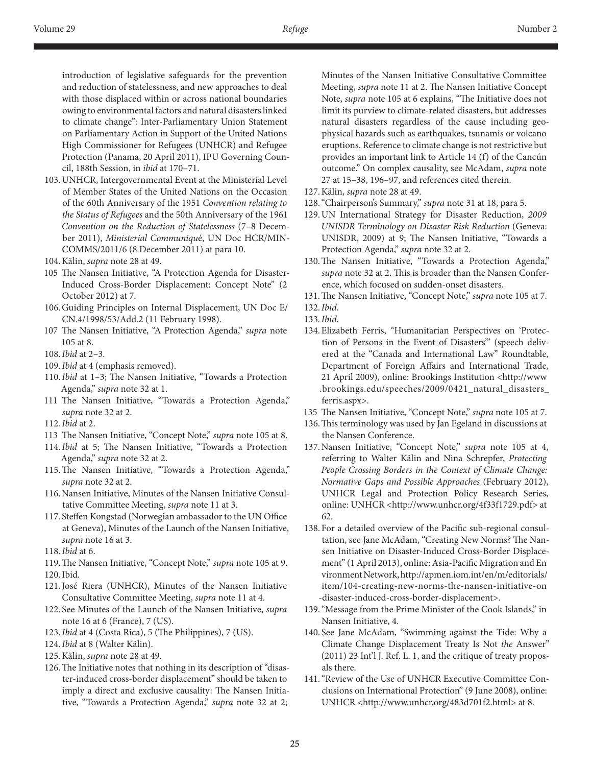introduction of legislative safeguards for the prevention and reduction of statelessness, and new approaches to deal with those displaced within or across national boundaries owing to environmental factors and natural disasters linked to climate change": Inter-Parliamentary Union Statement on Parliamentary Action in Support of the United Nations High Commissioner for Refugees (UNHCR) and Refugee Protection (Panama, 20 April 2011), IPU Governing Council, 188th Session, in *ibid* at 170–71.

- 103.UNHCR, Intergovernmental Event at the Ministerial Level of Member States of the United Nations on the Occasion of the 60th Anniversary of the 1951 *Convention relating to the Status of Refugees* and the 50th Anniversary of the 1961 *Convention on the Reduction of Statelessness* (7–8 December 2011), *Ministerial Communiqu*é, UN Doc HCR/MIN-COMMS/2011/6 (8 December 2011) at para 10.
- 104.Kälin, *supra* note 28 at 49.
- 105 The Nansen Initiative, "A Protection Agenda for Disaster-Induced Cross-Border Displacement: Concept Note" (2 October 2012) at 7.
- 106.Guiding Principles on Internal Displacement, UN Doc E/ CN.4/1998/53/Add.2 (11 February 1998).
- 107 The Nansen Initiative, "A Protection Agenda," *supra* note 105 at 8.
- 108.*Ibid* at 2–3.
- 109.*Ibid* at 4 (emphasis removed).
- 110.*Ibid* at 1–3; The Nansen Initiative, "Towards a Protection Agenda," *supra* note 32 at 1.
- 111 The Nansen Initiative, "Towards a Protection Agenda," *supra* note 32 at 2.
- 112*. Ibid* at 2.
- 113 The Nansen Initiative, "Concept Note," *supra* note 105 at 8.
- 114.*Ibid* at 5; The Nansen Initiative, "Towards a Protection Agenda," *supra* note 32 at 2.
- 115.The Nansen Initiative, "Towards a Protection Agenda," *supra* note 32 at 2.
- 116.Nansen Initiative, Minutes of the Nansen Initiative Consultative Committee Meeting, *supra* note 11 at 3.
- 117. Steffen Kongstad (Norwegian ambassador to the UN Office at Geneva), Minutes of the Launch of the Nansen Initiative, *supra* note 16 at 3.
- 118.*Ibid* at 6.
- 119.The Nansen Initiative, "Concept Note," *supra* note 105 at 9.
- 120.Ibid.
- 121.José Riera (UNHCR), Minutes of the Nansen Initiative Consultative Committee Meeting, *supra* note 11 at 4.
- 122. See Minutes of the Launch of the Nansen Initiative, *supra*  note 16 at 6 (France), 7 (US).
- 123.*Ibid* at 4 (Costa Rica), 5 (The Philippines), 7 (US).
- 124.*Ibid* at 8 (Walter Kälin).
- 125.Kälin, *supra* note 28 at 49.
- 126.The Initiative notes that nothing in its description of "disaster-induced cross-border displacement" should be taken to imply a direct and exclusive causality: The Nansen Initiative, "Towards a Protection Agenda," *supra* note 32 at 2;

Minutes of the Nansen Initiative Consultative Committee Meeting, *supra* note 11 at 2. The Nansen Initiative Concept Note, *supra* note 105 at 6 explains, "The Initiative does not limit its purview to climate-related disasters, but addresses natural disasters regardless of the cause including geophysical hazards such as earthquakes, tsunamis or volcano eruptions. Reference to climate change is not restrictive but provides an important link to Article 14 (f) of the Cancún outcome." On complex causality, see McAdam, *supra* note 27 at 15–38, 196–97, and references cited therein.

- 127.Kälin, *supra* note 28 at 49.
- 128."Chairperson's Summary," *supra* note 31 at 18, para 5.
- 129.UN International Strategy for Disaster Reduction, *2009 UNISDR Terminology on Disaster Risk Reduction* (Geneva: UNISDR, 2009) at 9; The Nansen Initiative, "Towards a Protection Agenda," *supra* note 32 at 2.
- 130.The Nansen Initiative, "Towards a Protection Agenda," *supra* note 32 at 2. This is broader than the Nansen Conference, which focused on sudden-onset disasters.
- 131.The Nansen Initiative, "Concept Note," *supra* note 105 at 7.
- 132.*Ibid*.
- 133*. Ibid*.
- 134.Elizabeth Ferris, "Humanitarian Perspectives on 'Protection of Persons in the Event of Disasters'" (speech delivered at the "Canada and International Law" Roundtable, Department of Foreign Affairs and International Trade, 21 April 2009), online: Brookings Institution <http://www .brookings.edu/speeches/2009/0421\_natural\_disasters\_ ferris.aspx>.
- 135 The Nansen Initiative, "Concept Note," *supra* note 105 at 7.
- 136.This terminology was used by Jan Egeland in discussions at the Nansen Conference.
- 137.Nansen Initiative, "Concept Note," *supra* note 105 at 4, referring to Walter Kälin and Nina Schrepfer, *Protecting People Crossing Borders in the Context of Climate Change: Normative Gaps and Possible Approaches* (February 2012), UNHCR Legal and Protection Policy Research Series, online: UNHCR <http://www.unhcr.org/4f33f1729.pdf> at 62.
- 138.For a detailed overview of the Pacific sub-regional consultation, see Jane McAdam, "Creating New Norms? The Nansen Initiative on Disaster-Induced Cross-Border Displacement" (1 April 2013), online: Asia-Pacific Migration and En vironment Network, http://apmen.iom.int/en/m/editorials/ item/104-creating-new-norms-the-nansen-initiative-on -disaster-induced-cross-border-displacement>.
- 139."Message from the Prime Minister of the Cook Islands," in Nansen Initiative, 4.
- 140. See Jane McAdam, "Swimming against the Tide: Why a Climate Change Displacement Treaty Is Not *the* Answer" (2011) 23 Int'l J. Ref. L. 1, and the critique of treaty proposals there.
- 141."Review of the Use of UNHCR Executive Committee Conclusions on International Protection" (9 June 2008), online: UNHCR <http://www.unhcr.org/483d701f2.html> at 8.